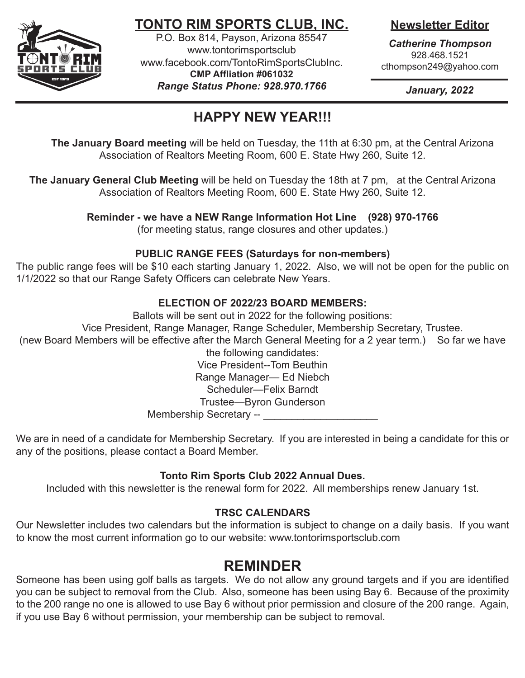

# **TONTO RIM SPORTS CLUB, INC.**

P.O. Box 814, Payson, Arizona 85547 www.tontorimsportsclub www.facebook.com/TontoRimSportsClubInc. **CMP Affliation #061032** *Range Status Phone: 928.970.1766*

## **Newsletter Editor**

*Catherine Thompson* 928.468.1521 cthompson249@yahoo.com

*January, 2022*

# **HAPPY NEW YEAR!!!**

 **The January Board meeting** will be held on Tuesday, the 11th at 6:30 pm, at the Central Arizona Association of Realtors Meeting Room, 600 E. State Hwy 260, Suite 12.

**The January General Club Meeting** will be held on Tuesday the 18th at 7 pm, at the Central Arizona Association of Realtors Meeting Room, 600 E. State Hwy 260, Suite 12.

**Reminder - we have a NEW Range Information Hot Line (928) 970-1766**

(for meeting status, range closures and other updates.)

### **PUBLIC RANGE FEES (Saturdays for non-members)**

The public range fees will be \$10 each starting January 1, 2022. Also, we will not be open for the public on 1/1/2022 so that our Range Safety Officers can celebrate New Years.

### **ELECTION OF 2022/23 BOARD MEMBERS:**

Ballots will be sent out in 2022 for the following positions:

Vice President, Range Manager, Range Scheduler, Membership Secretary, Trustee.

(new Board Members will be effective after the March General Meeting for a 2 year term.) So far we have the following candidates:

Vice President--Tom Beuthin Range Manager— Ed Niebch

Scheduler—Felix Barndt

Trustee—Byron Gunderson

Membership Secretary -- \_\_\_\_\_\_\_\_\_\_\_

We are in need of a candidate for Membership Secretary. If you are interested in being a candidate for this or any of the positions, please contact a Board Member.

## **Tonto Rim Sports Club 2022 Annual Dues.**

Included with this newsletter is the renewal form for 2022. All memberships renew January 1st.

## **TRSC CALENDARS**

Our Newsletter includes two calendars but the information is subject to change on a daily basis. If you want to know the most current information go to our website: www.tontorimsportsclub.com

# **REMINDER**

Someone has been using golf balls as targets. We do not allow any ground targets and if you are identified you can be subject to removal from the Club. Also, someone has been using Bay 6. Because of the proximity to the 200 range no one is allowed to use Bay 6 without prior permission and closure of the 200 range. Again, if you use Bay 6 without permission, your membership can be subject to removal.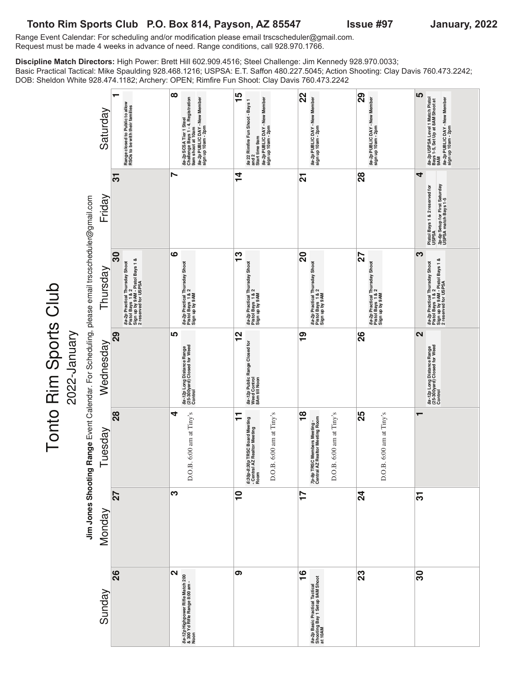### **Tonto Rim Sports Club P.O. Box 814, Payson, AZ 85547 Issue #97 January, 2022**

Tonto Rim Sports Club

2022-January

Range Event Calendar: For scheduling and/or modification please email trscscheduler@gmail.com. Request must be made 4 weeks in advance of need. Range conditions, call 928.970.1766.

**Discipline Match Directors:** High Power: Brett Hill 602.909.4516; Steel Challenge: Jim Kennedy 928.970.0033; Basic Practical Tactical: Mike Spaulding 928.468.1216; USPSA: E.T. Saffon 480.227.5045; Action Shooting: Clay Davis 760.473.2242; DOB: Sheldon White 928.474.1182; Archery: OPEN; Rimfire Fun Shoot: Clay Davis 760.473.2242

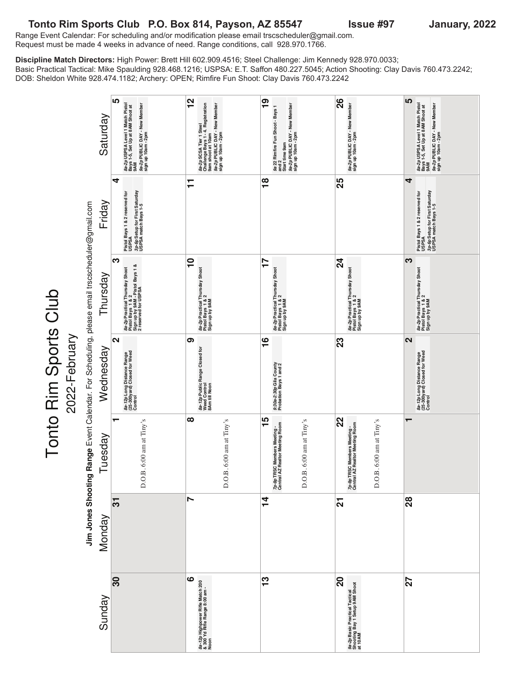#### **Tonto Rim Sports Club P.O. Box 814, Payson, AZ 85547 Issue #97 January, 2022** Range Event Calendar: For scheduling and/or modification please email trscscheduler@gmail.com. Request must be made 4 weeks in advance of need. Range conditions, call 928.970.1766.

Tonto Rim Sports Club

**Discipline Match Directors:** High Power: Brett Hill 602.909.4516; Steel Challenge: Jim Kennedy 928.970.0033; Basic Practical Tactical: Mike Spaulding 928.468.1216; USPSA: E.T. Saffon 480.227.5045; Action Shooting: Clay Davis 760.473.2242; DOB: Sheldon White 928.474.1182; Archery: OPEN; Rimfire Fun Shoot: Clay Davis 760.473.2242

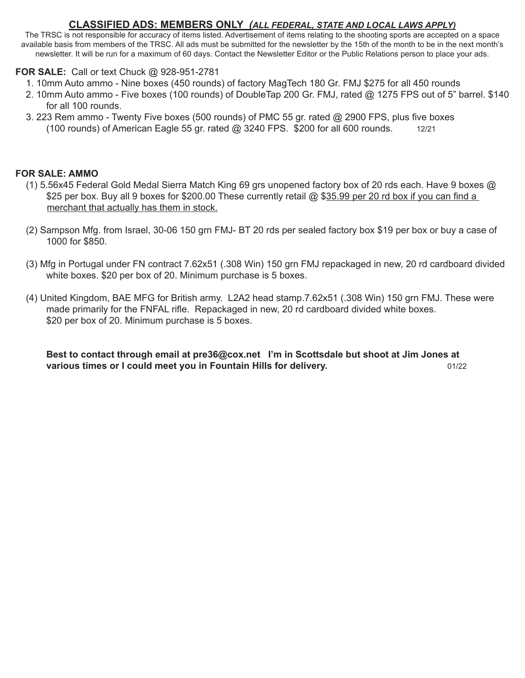### **CLASSIFIED ADS: MEMBERS ONLY** *(ALL FEDERAL, STATE AND LOCAL LAWS APPLY)*

The TRSC is not responsible for accuracy of items listed. Advertisement of items relating to the shooting sports are accepted on a space available basis from members of the TRSC. All ads must be submitted for the newsletter by the 15th of the month to be in the next month's newsletter. It will be run for a maximum of 60 days. Contact the Newsletter Editor or the Public Relations person to place your ads.

### **FOR SALE:** Call or text Chuck @ 928-951-2781

- 1. 10mm Auto ammo Nine boxes (450 rounds) of factory MagTech 180 Gr. FMJ \$275 for all 450 rounds
- 2. 10mm Auto ammo Five boxes (100 rounds) of DoubleTap 200 Gr. FMJ, rated @ 1275 FPS out of 5" barrel. \$140 for all 100 rounds.
- 3. 223 Rem ammo Twenty Five boxes (500 rounds) of PMC 55 gr. rated @ 2900 FPS, plus five boxes (100 rounds) of American Eagle 55 gr. rated  $@$  3240 FPS. \$200 for all 600 rounds.  $12/21$

### **For Sale: AMMO**

- (1) 5.56x45 Federal Gold Medal Sierra Match King 69 grs unopened factory box of 20 rds each. Have 9 boxes @ \$25 per box. Buy all 9 boxes for \$200.00 These currently retail @ \$35.99 per 20 rd box if you can find a merchant that actually has them in stock.
- (2) Sampson Mfg. from Israel, 30-06 150 grn FMJ- BT 20 rds per sealed factory box \$19 per box or buy a case of 1000 for \$850.
- (3) Mfg in Portugal under FN contract 7.62x51 (.308 Win) 150 grn FMJ repackaged in new, 20 rd cardboard divided white boxes. \$20 per box of 20. Minimum purchase is 5 boxes.
- (4) United Kingdom, BAE MFG for British army. L2A2 head stamp.7.62x51 (.308 Win) 150 grn FMJ. These were made primarily for the FNFAL rifle. Repackaged in new, 20 rd cardboard divided white boxes. \$20 per box of 20. Minimum purchase is 5 boxes.

**Best to contact through email at pre36@cox.net I'm in Scottsdale but shoot at Jim Jones at various times or I could meet you in Fountain Hills for delivery.** The mass of the same of the state of the state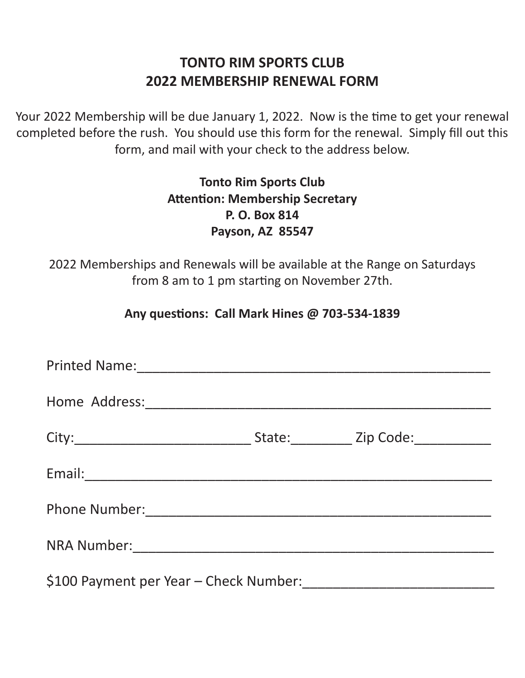# **TONTO RIM SPORTS CLUB 2022 MEMBERSHIP RENEWAL FORM**

Your 2022 Membership will be due January 1, 2022. Now is the time to get your renewal completed before the rush. You should use this form for the renewal. Simply fill out this form, and mail with your check to the address below.

# **Tonto Rim Sports Club Attention: Membership Secretary P. O. Box 814 Payson, AZ 85547**

2022 Memberships and Renewals will be available at the Range on Saturdays from 8 am to 1 pm starting on November 27th.

## **Any questions: Call Mark Hines @ 703-534-1839**

| Printed Name: 1988                     |  |  |  |  |
|----------------------------------------|--|--|--|--|
|                                        |  |  |  |  |
|                                        |  |  |  |  |
|                                        |  |  |  |  |
|                                        |  |  |  |  |
|                                        |  |  |  |  |
| \$100 Payment per Year - Check Number: |  |  |  |  |